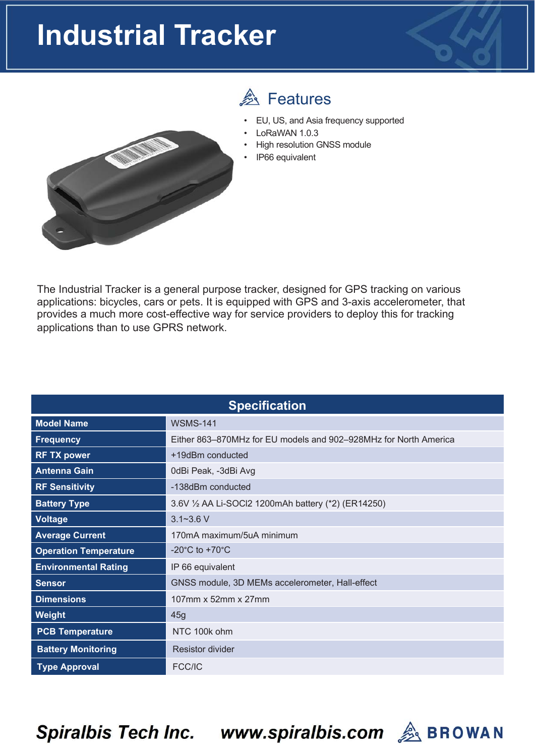## **Industrial Tracker**



## **A** Features

- EU, US, and Asia frequency supported
- LoRaWAN 1.0.3
- High resolution GNSS module
- IP66 equivalent

The Industrial Tracker is a general purpose tracker, designed for GPS tracking on various applications: bicycles, cars or pets. It is equipped with GPS and 3-axis accelerometer, that provides a much more cost-effective way for service providers to deploy this for tracking applications than to use GPRS network.

| <b>Specification</b>         |                                                                  |  |  |
|------------------------------|------------------------------------------------------------------|--|--|
| <b>Model Name</b>            | <b>WSMS-141</b>                                                  |  |  |
| <b>Frequency</b>             | Either 863–870MHz for EU models and 902–928MHz for North America |  |  |
| <b>RF TX power</b>           | +19dBm conducted                                                 |  |  |
| <b>Antenna Gain</b>          | 0dBi Peak, -3dBi Avg                                             |  |  |
| <b>RF Sensitivity</b>        | -138dBm conducted                                                |  |  |
| <b>Battery Type</b>          | 3.6V 1/2 AA Li-SOCI2 1200mAh battery (*2) (ER14250)              |  |  |
| <b>Voltage</b>               | $3.1 - 3.6$ V                                                    |  |  |
| <b>Average Current</b>       | 170mA maximum/5uA minimum                                        |  |  |
| <b>Operation Temperature</b> | -20 $^{\circ}$ C to +70 $^{\circ}$ C                             |  |  |
| <b>Environmental Rating</b>  | IP 66 equivalent                                                 |  |  |
| <b>Sensor</b>                | GNSS module, 3D MEMs accelerometer, Hall-effect                  |  |  |
| <b>Dimensions</b>            | 107mm x 52mm x 27mm                                              |  |  |
| <b>Weight</b>                | 45g                                                              |  |  |
| <b>PCB Temperature</b>       | NTC 100k ohm                                                     |  |  |
| <b>Battery Monitoring</b>    | <b>Resistor divider</b>                                          |  |  |
| <b>Type Approval</b>         | FCC/IC                                                           |  |  |

**Spiralbis Tech Inc.** 

www.spiralbis.com A BROWAN